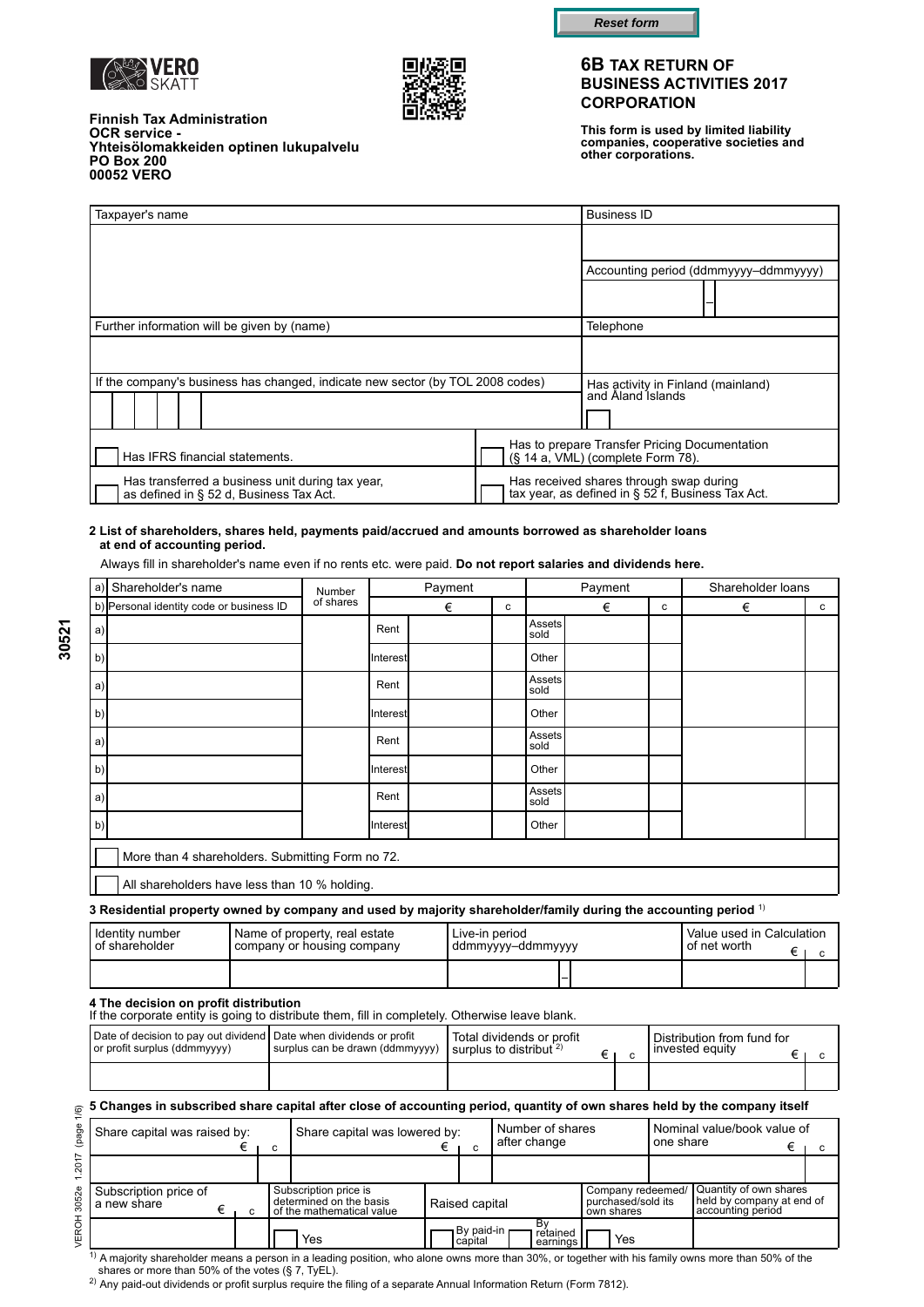



**OCR service -** 

**PO Box 200**

**Finnish Tax Administration**

**Yhteisölomakkeiden optinen lukupalvelu**



### **6B TAX RETURN OF BUSINESS ACTIVITIES 2017 CORPORATION**

**This form is used by limited liability companies, cooperative societies and other corporations.**

| 00052 VERO                                                                                  |  |  |  |                                                                                |                                                         |                                                                                              |                                       |
|---------------------------------------------------------------------------------------------|--|--|--|--------------------------------------------------------------------------------|---------------------------------------------------------|----------------------------------------------------------------------------------------------|---------------------------------------|
| Taxpayer's name                                                                             |  |  |  |                                                                                |                                                         | <b>Business ID</b>                                                                           |                                       |
|                                                                                             |  |  |  |                                                                                |                                                         |                                                                                              |                                       |
|                                                                                             |  |  |  |                                                                                |                                                         |                                                                                              | Accounting period (ddmmyyyy-ddmmyyyy) |
|                                                                                             |  |  |  |                                                                                |                                                         |                                                                                              |                                       |
|                                                                                             |  |  |  | Further information will be given by (name)                                    |                                                         | Telephone                                                                                    |                                       |
|                                                                                             |  |  |  |                                                                                |                                                         |                                                                                              |                                       |
|                                                                                             |  |  |  | If the company's business has changed, indicate new sector (by TOL 2008 codes) | Has activity in Finland (mainland)<br>and Aland Islands |                                                                                              |                                       |
|                                                                                             |  |  |  |                                                                                |                                                         |                                                                                              |                                       |
|                                                                                             |  |  |  | Has IFRS financial statements.                                                 |                                                         | Has to prepare Transfer Pricing Documentation<br>(§ 14 a, VML) (complete Form 78).           |                                       |
| Has transferred a business unit during tax year,<br>as defined in § 52 d. Business Tax Act. |  |  |  |                                                                                |                                                         | Has received shares through swap during<br>tax year, as defined in § 52 f, Business Tax Act. |                                       |

#### **2 List of shareholders, shares held, payments paid/accrued and amounts borrowed as shareholder loans at end of accounting period.**

Always fill in shareholder's name even if no rents etc. were paid. **Do not report salaries and dividends here.**

| a) | Shareholder's name                                                                                              | Number    | Payment  |        |  | Payment               |   |   | Shareholder loans |              |
|----|-----------------------------------------------------------------------------------------------------------------|-----------|----------|--------|--|-----------------------|---|---|-------------------|--------------|
|    | b) Personal identity code or business ID                                                                        | of shares |          | €<br>c |  |                       | € | c | €                 | $\mathbf{c}$ |
| a) |                                                                                                                 |           | Rent     |        |  | <b>Assets</b><br>sold |   |   |                   |              |
| b  |                                                                                                                 |           | Interest |        |  | Other                 |   |   |                   |              |
| a) |                                                                                                                 |           | Rent     |        |  | Assets<br>sold        |   |   |                   |              |
| b  |                                                                                                                 |           | Interest |        |  | Other                 |   |   |                   |              |
| a) |                                                                                                                 |           | Rent     |        |  | Assets<br>sold        |   |   |                   |              |
| b  |                                                                                                                 |           | Interest |        |  | Other                 |   |   |                   |              |
| a  |                                                                                                                 |           | Rent     |        |  | Assets<br>sold        |   |   |                   |              |
| b  |                                                                                                                 |           | Interest |        |  | Other                 |   |   |                   |              |
|    | More than 4 shareholders. Submitting Form no 72.                                                                |           |          |        |  |                       |   |   |                   |              |
|    | All shareholders have less than 10 % holding.                                                                   |           |          |        |  |                       |   |   |                   |              |
|    | 3 Residential property owned by company and used by majority shareholder/family during the accounting period 1) |           |          |        |  |                       |   |   |                   |              |

Live-in period ddmmyyyy‒ddmmyyyy Identity number of shareholder Value used in Calculation of net worth Name of property, real estate  $\left.\begin{array}{ccc} \text{Live-in period} \end{array}\right\}$  (Value used in Calculation<br>
company or housing company  $\left.\begin{array}{ccc} \text{Idmmyyyy-ddmmyyyy} \end{array}\right\}$ 

# **4 The decision on profit distribution**

If the corporate entity is going to distribute them, fill in completely. Otherwise leave blank.

| Date of decision to pay out dividend Date when dividends or profit<br>or profit surplus (ddmmyyyy) | surplus can be drawn (ddmmyyyy) | Total dividends or profit<br>I surplus to distribut $2$ |  | l Distribution from fund for<br>l invested eauitv |  |
|----------------------------------------------------------------------------------------------------|---------------------------------|---------------------------------------------------------|--|---------------------------------------------------|--|
|                                                                                                    |                                 |                                                         |  |                                                   |  |

#### **5 Changes in subscribed share capital after close of accounting period, quantity of own shares held by the company itself**

|            | $_{\odot}$ 5 Changes in subscribed share capital after close of accounting period, quantity of own shares held by the company itself |   |                                                                               |                         |                                  |                                                       |           |                                                                          |  |
|------------|--------------------------------------------------------------------------------------------------------------------------------------|---|-------------------------------------------------------------------------------|-------------------------|----------------------------------|-------------------------------------------------------|-----------|--------------------------------------------------------------------------|--|
| (page<br>N | Share capital was raised by:                                                                                                         | C | Share capital was lowered by:                                                 |                         | Number of shares<br>after change |                                                       | one share | Nominal value/book value of                                              |  |
| 20         |                                                                                                                                      |   |                                                                               |                         |                                  |                                                       |           |                                                                          |  |
| 3052e      | Subscription price of<br>a new share<br>c                                                                                            |   | Subscription price is<br>determined on the basis<br>of the mathematical value | Raised capital          |                                  | Company redeemed/<br>purchased/sold its<br>own shares |           | Quantity of own shares<br>held by company at end of<br>accounting period |  |
| ERO        |                                                                                                                                      |   | Yes                                                                           | By paid-in r<br>capital | Bv<br>retained<br>earnings       | Yes                                                   |           |                                                                          |  |

 $1)$  A majority shareholder means a person in a leading position, who alone owns more than 30%, or together with his family owns more than 50% of the shares or more than 50% of the votes (§ 7, TyEL).

2) Any paid-out dividends or profit surplus require the filing of a separate Annual Information Return (Form 7812).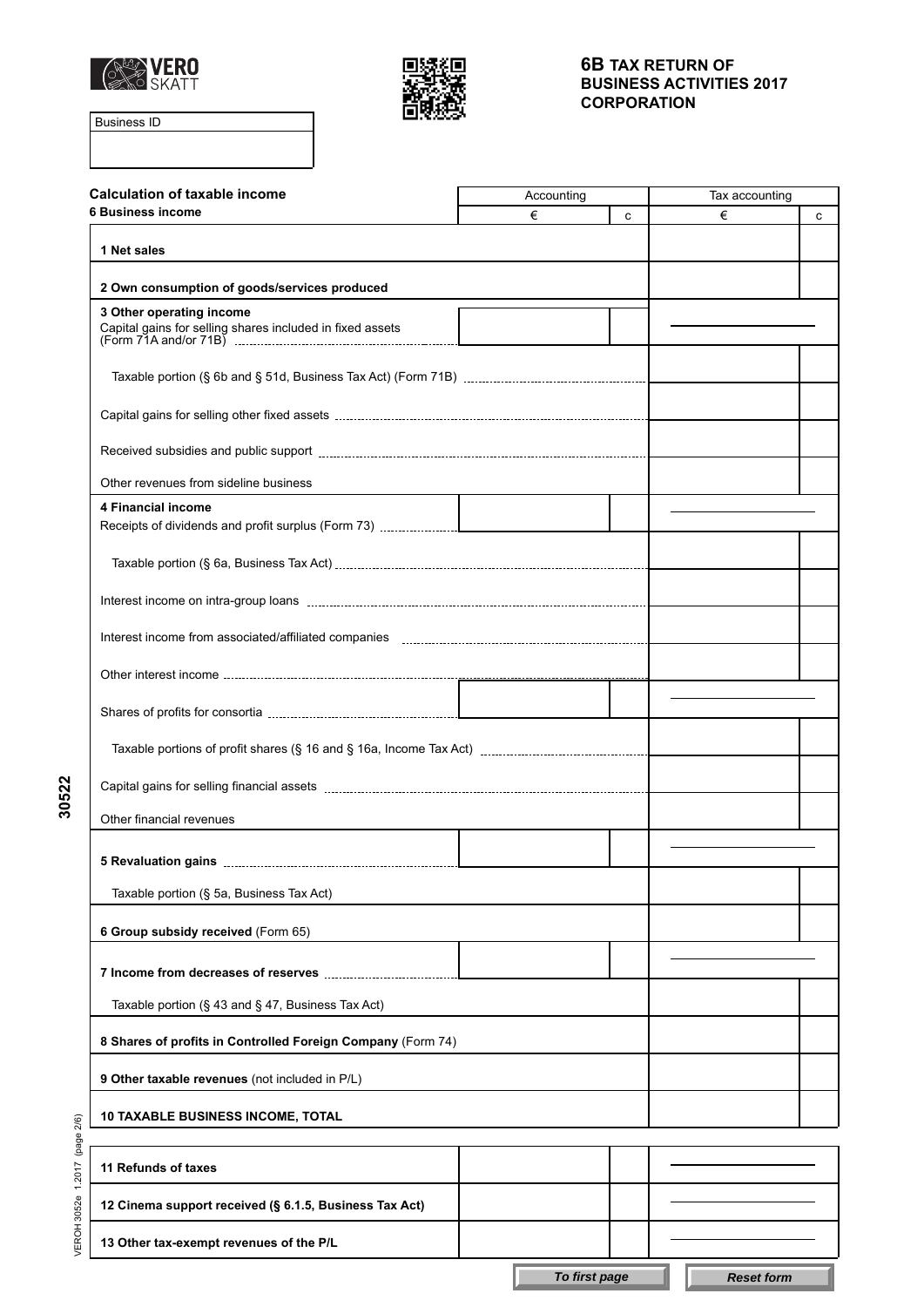



Business ID

| <b>Calculation of taxable income</b>                        | Accounting | Tax accounting |   |   |
|-------------------------------------------------------------|------------|----------------|---|---|
| <b>6 Business income</b>                                    | €          | c              | € | c |
| 1 Net sales                                                 |            |                |   |   |
| 2 Own consumption of goods/services produced                |            |                |   |   |
| 3 Other operating income                                    |            |                |   |   |
| Capital gains for selling shares included in fixed assets   |            |                |   |   |
|                                                             |            |                |   |   |
|                                                             |            |                |   |   |
|                                                             |            |                |   |   |
| Other revenues from sideline business                       |            |                |   |   |
| 4 Financial income                                          |            |                |   |   |
|                                                             |            |                |   |   |
|                                                             |            |                |   |   |
|                                                             |            |                |   |   |
|                                                             |            |                |   |   |
|                                                             |            |                |   |   |
|                                                             |            |                |   |   |
|                                                             |            |                |   |   |
| Other financial revenues                                    |            |                |   |   |
|                                                             |            |                |   |   |
| Taxable portion (§ 5a, Business Tax Act)                    |            |                |   |   |
| 6 Group subsidy received (Form 65)                          |            |                |   |   |
|                                                             |            |                |   |   |
| Taxable portion $(\S 43$ and $\S 47$ , Business Tax Act)    |            |                |   |   |
| 8 Shares of profits in Controlled Foreign Company (Form 74) |            |                |   |   |
| 9 Other taxable revenues (not included in P/L)              |            |                |   |   |
| <b>10 TAXABLE BUSINESS INCOME, TOTAL</b>                    |            |                |   |   |
|                                                             |            |                |   |   |
| 11 Refunds of taxes                                         |            |                |   |   |
| 12 Cinema support received (§ 6.1.5, Business Tax Act)      |            |                |   |   |
| 13 Other tax-exempt revenues of the P/L                     |            |                |   |   |

**30522**

VEROH 3052e 1.2017 (page 2/6) VEROH 3052e 1.2017 (page 2/6)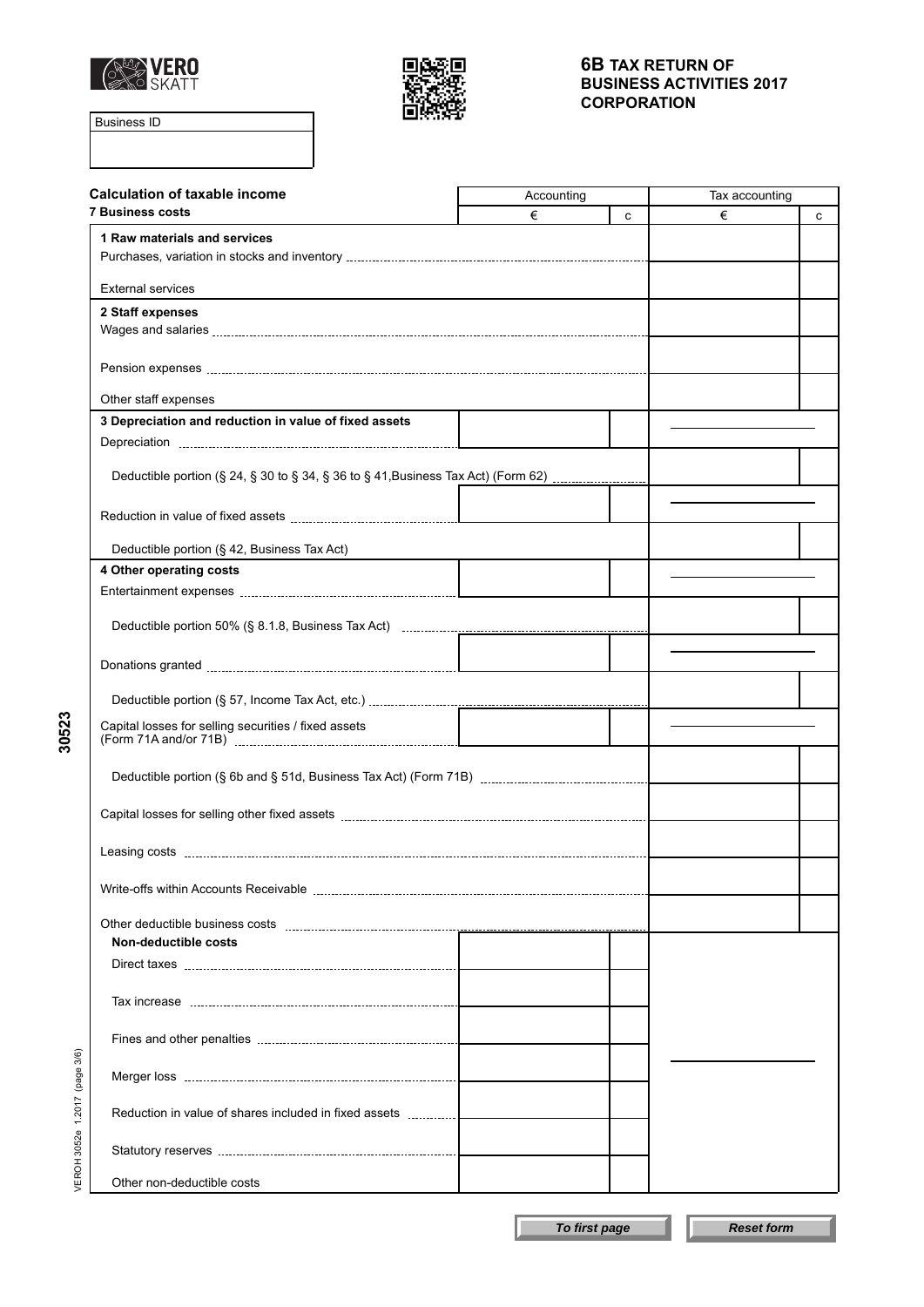



Business ID

**30523**

| <b>Calculation of taxable income</b>                                              | Accounting | Tax accounting |   |   |
|-----------------------------------------------------------------------------------|------------|----------------|---|---|
| <b>7 Business costs</b>                                                           | €          | C              | € | с |
| 1 Raw materials and services                                                      |            |                |   |   |
| <b>External services</b>                                                          |            |                |   |   |
| 2 Staff expenses                                                                  |            |                |   |   |
|                                                                                   |            |                |   |   |
|                                                                                   |            |                |   |   |
| Other staff expenses                                                              |            |                |   |   |
| 3 Depreciation and reduction in value of fixed assets                             |            |                |   |   |
|                                                                                   |            |                |   |   |
| Deductible portion (§ 24, § 30 to § 34, § 36 to § 41, Business Tax Act) (Form 62) |            |                |   |   |
|                                                                                   |            |                |   |   |
|                                                                                   |            |                |   |   |
| Deductible portion (§ 42, Business Tax Act)                                       |            |                |   |   |
| 4 Other operating costs                                                           |            |                |   |   |
|                                                                                   |            |                |   |   |
|                                                                                   |            |                |   |   |
|                                                                                   |            |                |   |   |
|                                                                                   |            |                |   |   |
| Capital losses for selling securities / fixed assets                              |            |                |   |   |
|                                                                                   |            |                |   |   |
|                                                                                   |            |                |   |   |
|                                                                                   |            |                |   |   |
|                                                                                   |            |                |   |   |
|                                                                                   |            |                |   |   |
| Non-deductible costs                                                              |            |                |   |   |
|                                                                                   |            |                |   |   |
|                                                                                   |            |                |   |   |
|                                                                                   |            |                |   |   |
|                                                                                   |            |                |   |   |
| (page 3/6)                                                                        |            |                |   |   |
| 1.2017<br>Reduction in value of shares included in fixed assets                   |            |                |   |   |
| VEROH 3052e                                                                       |            |                |   |   |
| Other non-deductible costs                                                        |            |                |   |   |

**To first page Reset form**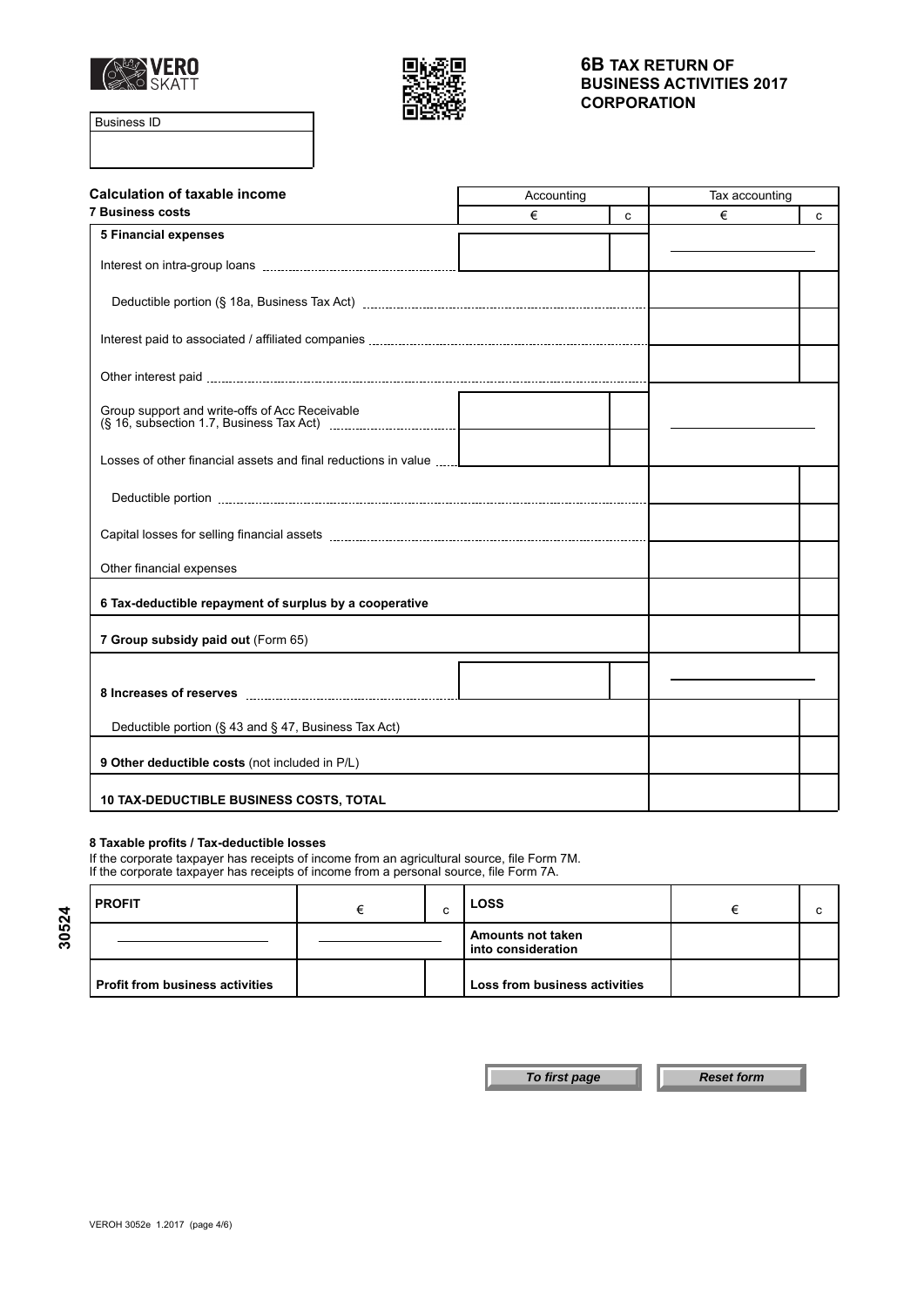



Business ID

| <b>Calculation of taxable income</b>                           | Accounting |   | Tax accounting |   |
|----------------------------------------------------------------|------------|---|----------------|---|
| <b>7 Business costs</b>                                        | €          | C | €              | C |
| <b>5 Financial expenses</b>                                    |            |   |                |   |
|                                                                |            |   |                |   |
|                                                                |            |   |                |   |
|                                                                |            |   |                |   |
|                                                                |            |   |                |   |
| Group support and write-offs of Acc Receivable                 |            |   |                |   |
| Losses of other financial assets and final reductions in value |            |   |                |   |
|                                                                |            |   |                |   |
|                                                                |            |   |                |   |
| Other financial expenses                                       |            |   |                |   |
| 6 Tax-deductible repayment of surplus by a cooperative         |            |   |                |   |
| 7 Group subsidy paid out (Form 65)                             |            |   |                |   |
|                                                                |            |   |                |   |
|                                                                |            |   |                |   |
| Deductible portion (§ 43 and § 47, Business Tax Act)           |            |   |                |   |
| 9 Other deductible costs (not included in P/L)                 |            |   |                |   |
| <b>10 TAX-DEDUCTIBLE BUSINESS COSTS, TOTAL</b>                 |            |   |                |   |

### **8 Taxable profits / Tax-deductible losses**

If the corporate taxpayer has receipts of income from an agricultural source, file Form 7M. If the corporate taxpayer has receipts of income from a personal source, file Form 7A.

| l PROFIT                               | ⌒<br>ີ | <b>LOSS</b>                             |  |
|----------------------------------------|--------|-----------------------------------------|--|
|                                        |        | Amounts not taken<br>into consideration |  |
| <b>Profit from business activities</b> |        | Loss from business activities           |  |

**30524**

**To first page Reset form**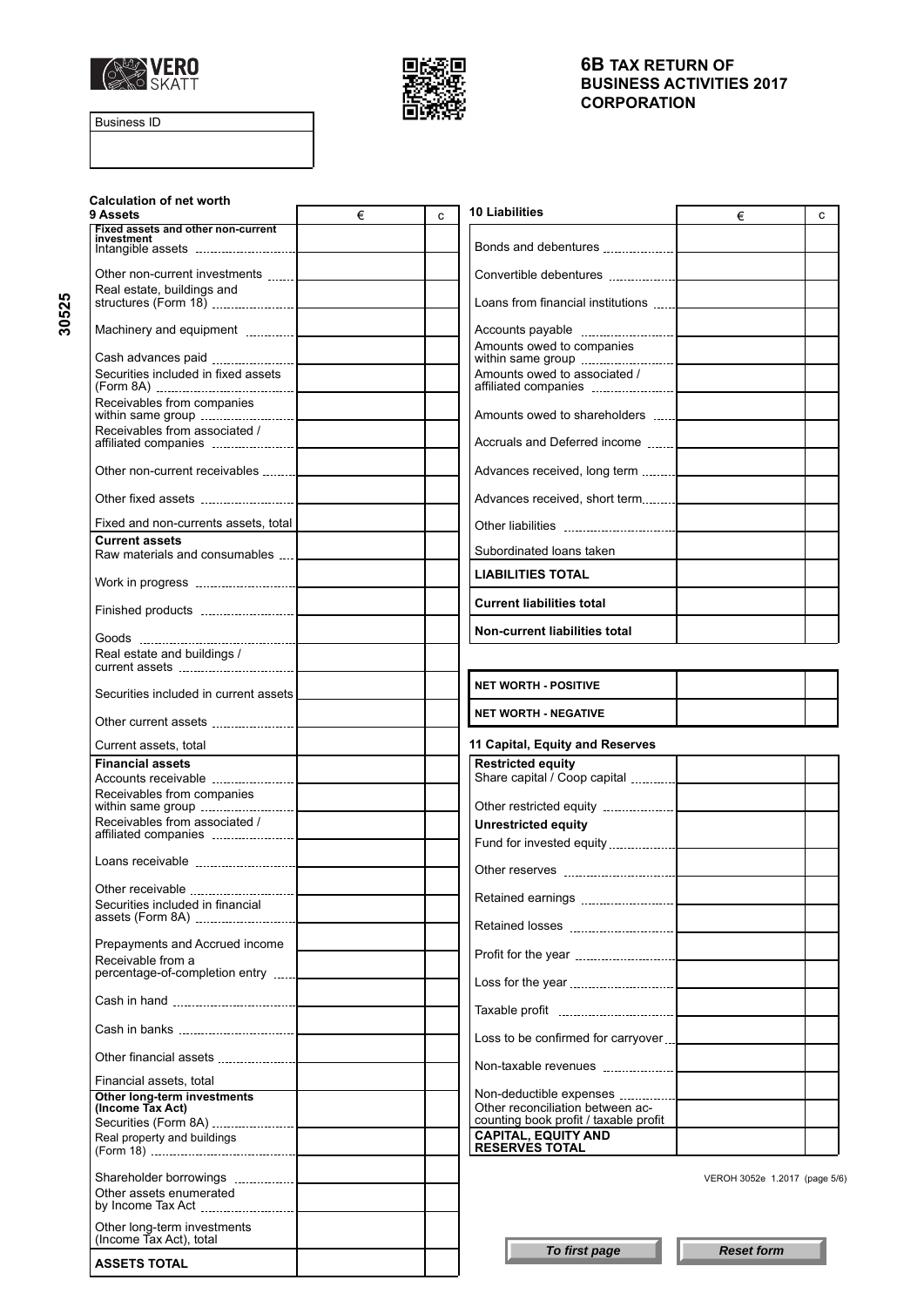



Business ID

| <b>Calculation of net worth</b>                                    |            | <b>10 Liabilities</b>                                                     |                               |
|--------------------------------------------------------------------|------------|---------------------------------------------------------------------------|-------------------------------|
| 9 Assets                                                           | $\in$<br>C |                                                                           | €<br>C                        |
| Fixed assets and other non-current<br>investment                   |            |                                                                           |                               |
| Other non-current investments                                      |            |                                                                           |                               |
| Real estate, buildings and                                         |            | Loans from financial institutions                                         |                               |
|                                                                    |            |                                                                           |                               |
|                                                                    |            | Amounts owed to companies                                                 |                               |
| Securities included in fixed assets                                |            | Amounts owed to associated /                                              |                               |
| Receivables from companies                                         |            | Amounts owed to shareholders                                              |                               |
| Receivables from associated /                                      |            | Accruals and Deferred income  [                                           |                               |
| Other non-current receivables                                      |            |                                                                           |                               |
|                                                                    |            | Advances received, short term                                             |                               |
| Fixed and non-currents assets, total                               |            |                                                                           |                               |
| <b>Current assets</b>                                              |            |                                                                           |                               |
| Raw materials and consumables                                      |            | Subordinated loans taken                                                  |                               |
|                                                                    |            | <b>LIABILITIES TOTAL</b>                                                  |                               |
|                                                                    |            | <b>Current liabilities total</b>                                          |                               |
|                                                                    |            | Non-current liabilities total                                             |                               |
| Real estate and buildings /                                        |            |                                                                           |                               |
| Securities included in current assets                              |            | <b>NET WORTH - POSITIVE</b>                                               |                               |
|                                                                    |            | <b>NET WORTH - NEGATIVE</b>                                               |                               |
| Current assets, total                                              |            | 11 Capital, Equity and Reserves                                           |                               |
| <b>Financial assets</b>                                            |            | <b>Restricted equity</b><br>Share capital / Coop capital                  |                               |
| Receivables from companies                                         |            |                                                                           |                               |
| Receivables from associated /                                      |            | <b>Unrestricted equity</b>                                                |                               |
|                                                                    |            |                                                                           |                               |
|                                                                    |            |                                                                           |                               |
| Other receivable                                                   |            |                                                                           |                               |
| Securities included in financial                                   |            |                                                                           |                               |
| Prepayments and Accrued income                                     |            |                                                                           |                               |
| Receivable from a<br>percentage-of-completion entry                |            |                                                                           |                               |
|                                                                    |            |                                                                           |                               |
|                                                                    |            |                                                                           |                               |
|                                                                    |            | Loss to be confirmed for carryover                                        |                               |
| Other financial assets <b>contained</b><br>Financial assets, total |            |                                                                           |                               |
| Other long-term investments                                        |            | Non-deductible expenses                                                   |                               |
| (Income Tax Act)                                                   |            | Other reconciliation between ac-<br>counting book profit / taxable profit |                               |
| Real property and buildings                                        |            | <b>CAPITAL, EQUITY AND</b>                                                |                               |
|                                                                    |            | <b>RESERVES TOTAL</b>                                                     |                               |
|                                                                    |            |                                                                           | VEROH 3052e 1.2017 (page 5/6) |
| Other assets enumerated<br>by Income Tax Act                       |            |                                                                           |                               |
| Other long-term investments<br>(Income Tax Act), total             |            |                                                                           |                               |
| <b>ASSETS TOTAL</b>                                                |            | To first page                                                             | <b>Reset form</b>             |

**30525**